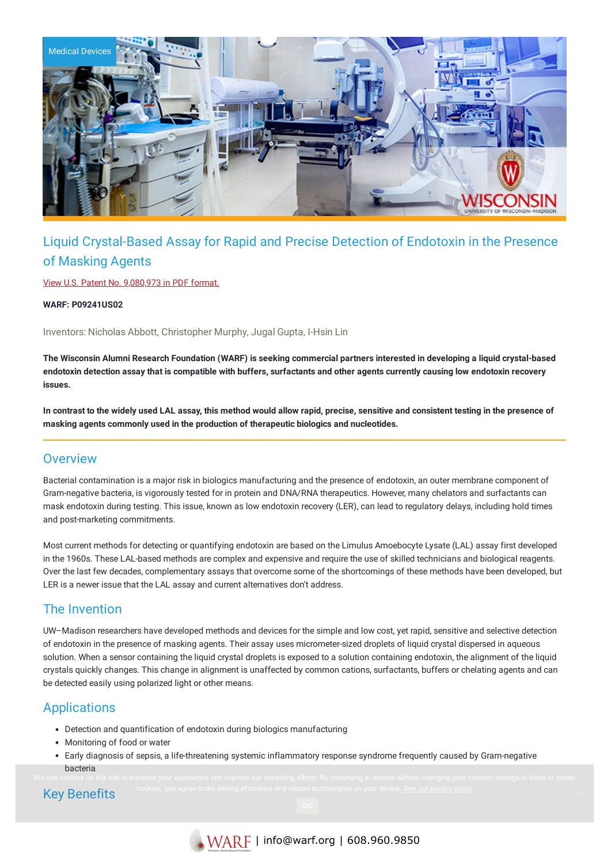

# Liquid Crystal-Based Assay for Rapid and Precise Detection of Endotoxin in the Presence of Masking Agents

View U.S. Patent No. [9,080,973](https://www.warf.org/wp-content/uploads/technologies/ipstatus/P09241US02.PDF) in PDF format.

**WARF: P09241US02**

Inventors: Nicholas Abbott, Christopher Murphy, Jugal Gupta, I-Hsin Lin

The Wisconsin Alumni Research Foundation (WARF) is seeking commercial partners interested in developing a liquid crystal-based endotoxin detection assay that is compatible with buffers, surfactants and other agents currently causing low endotoxin recovery **issues.**

In contrast to the widely used LAL assay, this method would allow rapid, precise, sensitive and consistent testing in the presence of **masking agents commonly used in the production of therapeutic biologics and nucleotides.**

#### **Overview**

Bacterial contamination is a major risk in biologics manufacturing and the presence of endotoxin, an outer membrane component of Gram-negative bacteria, is vigorously tested for in protein and DNA/RNA therapeutics. However, many chelators and surfactants can mask endotoxin during testing. This issue, known as low endotoxin recovery (LER), can lead to regulatory delays, including hold times and post-marketing commitments.

Most current methods for detecting or quantifying endotoxin are based on the Limulus Amoebocyte Lysate (LAL) assay first developed in the 1960s. These LAL-based methods are complex and expensive and require the use of skilled technicians and biological reagents. Over the last few decades, complementary assays that overcome some of the shortcomings of these methods have been developed, but LER is a newer issue that the LAL assay and current alternatives don't address.

#### The Invention

UW–Madison researchers have developed methods and devices for the simple and low cost, yet rapid, sensitive and selective detection of endotoxin in the presence of masking agents. Their assay uses micrometer-sized droplets of liquid crystal dispersed in aqueous solution. When a sensor containing the liquid crystal droplets is exposed to a solution containing endotoxin, the alignment of the liquid crystals quickly changes. This change in alignment is unaffected by common cations, surfactants, buffers or chelating agents and can be detected easily using polarized light or other means.

### **Applications**

- Detection and quantification of endotoxin during biologics manufacturing
- Monitoring of food or water
- Early diagnosis of sepsis, a life-threatening systemic inflammatory response syndrome frequently caused by Gram-negative bacteria

## Key Benefits